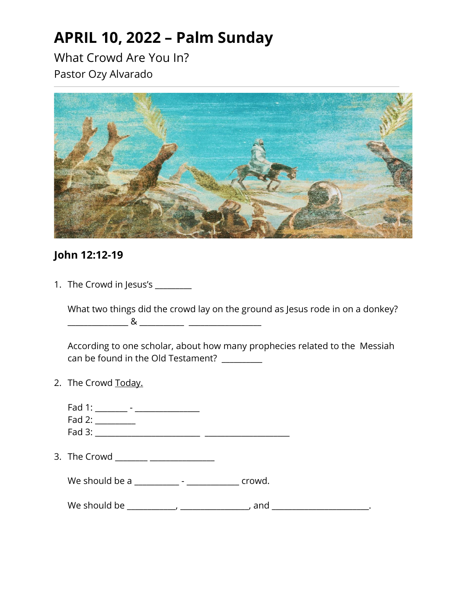## **APRIL 10, 2022 – Palm Sunday**

What Crowd Are You In? Pastor Ozy Alvarado



## **John 12:12-19**

1. The Crowd in Jesus's \_\_\_\_\_\_\_\_

What two things did the crowd lay on the ground as Jesus rode in on a donkey? \_\_\_\_\_\_\_\_\_\_\_\_\_\_\_ & \_\_\_\_\_\_\_\_\_\_\_ \_\_\_\_\_\_\_\_\_\_\_\_\_\_\_\_\_\_

According to one scholar, about how many prophecies related to the Messiah can be found in the Old Testament? \_\_\_\_\_\_\_\_\_

2. The Crowd Today.

| Fad 1: ________ - _________________<br>Fad 2:                                                                                                                                                                                  |        |  |
|--------------------------------------------------------------------------------------------------------------------------------------------------------------------------------------------------------------------------------|--------|--|
| 3. The Crowd ________ ________________                                                                                                                                                                                         |        |  |
| We should be a controller to the should be a controller to the state of the state of the state of the state of the state of the state of the state of the state of the state of the state of the state of the state of the sta | crowd. |  |
| We should be the control of the control of the control of the control of the control of the control of the control of the control of the control of the control of the control of the control of the control of the control of | and    |  |